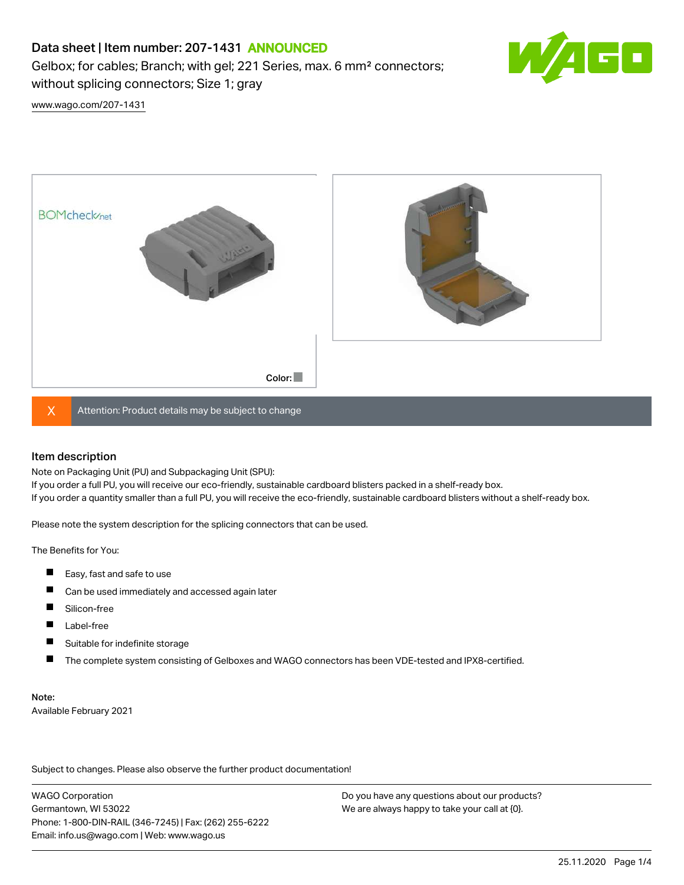# Data sheet | Item number: 207-1431 ANNOUNCED

Gelbox; for cables; Branch; with gel; 221 Series, max. 6 mm² connectors; without splicing connectors; Size 1; gray



[www.wago.com/207-1431](http://www.wago.com/207-1431)



 $X$  Attention: Product details may be subject to change

#### Item description

Note on Packaging Unit (PU) and Subpackaging Unit (SPU):

If you order a full PU, you will receive our eco-friendly, sustainable cardboard blisters packed in a shelf-ready box. If you order a quantity smaller than a full PU, you will receive the eco-friendly, sustainable cardboard blisters without a shelf-ready box.

Please note the system description for the splicing connectors that can be used.

The Benefits for You:

- $\blacksquare$ Easy, fast and safe to use
- $\blacksquare$ Can be used immediately and accessed again later
- $\blacksquare$ Silicon-free
- $\blacksquare$ Label-free
- П Suitable for indefinite storage
- П The complete system consisting of Gelboxes and WAGO connectors has been VDE-tested and IPX8-certified.

#### Note:

Available February 2021

Subject to changes. Please also observe the further product documentation! Data

WAGO Corporation Germantown, WI 53022 Phone: 1-800-DIN-RAIL (346-7245) | Fax: (262) 255-6222 Email: info.us@wago.com | Web: www.wago.us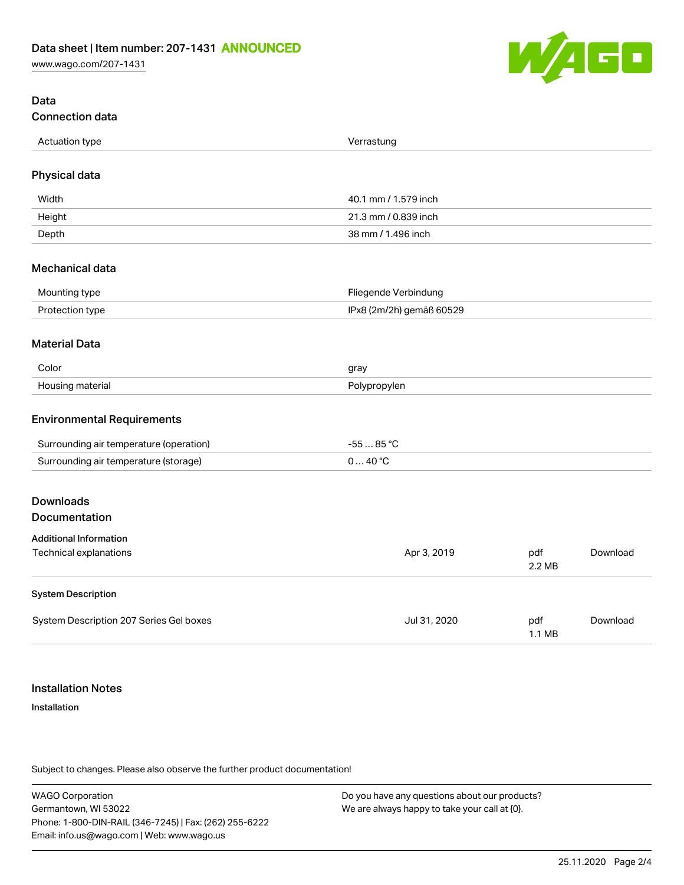[www.wago.com/207-1431](http://www.wago.com/207-1431)



## Data Connection data

| Actuation type | Verrastung               |
|----------------|--------------------------|
| $ -$           | . 5. . 5. 5. . 5. . 5. . |
|                |                          |

## Physical data

| Width  | 40.1 mm / 1.579 inch |
|--------|----------------------|
| Height | 21.3 mm / 0.839 inch |
| Depth  | 38 mm / 1.496 inch   |

#### Mechanical data

| Mounting type   | Fliegende Verbindung     |
|-----------------|--------------------------|
| Protection type | IPx8 (2m/2h) gemäß 60529 |

#### Material Data

| Color                 | nray         |
|-----------------------|--------------|
| Housing r<br>materiai | Polypropylen |

#### Environmental Requirements

| Surrounding air temperature (operation) | $.85^{\circ}$ |
|-----------------------------------------|---------------|
| Surrounding air temperature (storage)   | ⊿റ ∘ $\cap$   |

# Downloads

## Documentation

| <b>Additional Information</b>           |              |                         |          |
|-----------------------------------------|--------------|-------------------------|----------|
| Technical explanations                  | Apr 3, 2019  | pdf<br>2.2 MB           | Download |
| <b>System Description</b>               |              |                         |          |
| System Description 207 Series Gel boxes | Jul 31, 2020 | pdf<br>$1.1 \text{ MB}$ | Download |

## Installation Notes

#### Installation

Subject to changes. Please also observe the further product documentation!

WAGO Corporation Germantown, WI 53022 Phone: 1-800-DIN-RAIL (346-7245) | Fax: (262) 255-6222 Email: info.us@wago.com | Web: www.wago.us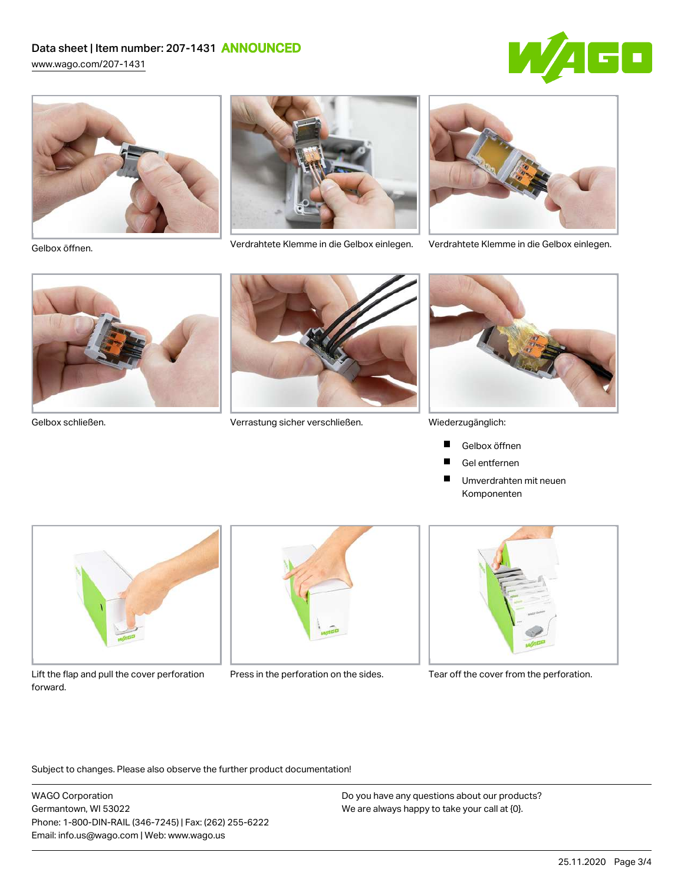# Data sheet | Item number: 207-1431 ANNOUNCED

[www.wago.com/207-1431](http://www.wago.com/207-1431)







Verdrahtete Klemme in die Gelbox einlegen. Verdrahtete Klemme in die Gelbox einlegen. Gelbox öffnen.



![](_page_2_Picture_9.jpeg)

![](_page_2_Picture_11.jpeg)

Gelbox schließen. Verrastung sicher verschließen.

![](_page_2_Picture_13.jpeg)

Wiederzugänglich:

- Gelbox öffnen П
- Gel entfernen **The Second Service**
- $\blacksquare$ Umverdrahten mit neuen Komponenten

![](_page_2_Picture_18.jpeg)

Lift the flap and pull the cover perforation Press in the perforation on the sides. Tear off the cover from the perforation. forward.

![](_page_2_Picture_20.jpeg)

![](_page_2_Picture_22.jpeg)

Subject to changes. Please also observe the further product documentation!

WAGO Corporation Germantown, WI 53022 Phone: 1-800-DIN-RAIL (346-7245) | Fax: (262) 255-6222 Email: info.us@wago.com | Web: www.wago.us